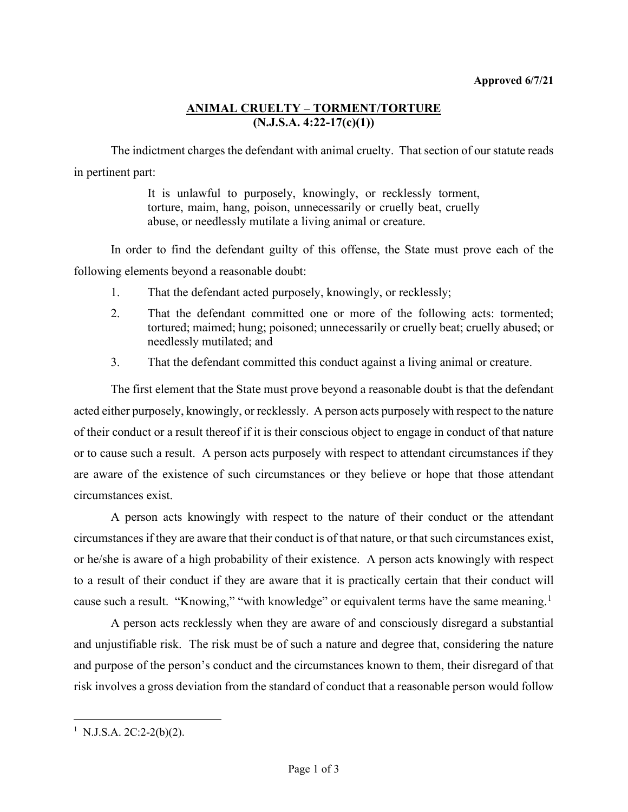## **ANIMAL CRUELTY – TORMENT/TORTURE (N.J.S.A. 4:22-17(c)(1))**

The indictment charges the defendant with animal cruelty. That section of our statute reads in pertinent part:

> It is unlawful to purposely, knowingly, or recklessly torment, torture, maim, hang, poison, unnecessarily or cruelly beat, cruelly abuse, or needlessly mutilate a living animal or creature.

In order to find the defendant guilty of this offense, the State must prove each of the following elements beyond a reasonable doubt:

- 1. That the defendant acted purposely, knowingly, or recklessly;
- 2. That the defendant committed one or more of the following acts: tormented; tortured; maimed; hung; poisoned; unnecessarily or cruelly beat; cruelly abused; or needlessly mutilated; and
- 3. That the defendant committed this conduct against a living animal or creature.

The first element that the State must prove beyond a reasonable doubt is that the defendant acted either purposely, knowingly, or recklessly. A person acts purposely with respect to the nature of their conduct or a result thereof if it is their conscious object to engage in conduct of that nature or to cause such a result. A person acts purposely with respect to attendant circumstances if they are aware of the existence of such circumstances or they believe or hope that those attendant circumstances exist.

A person acts knowingly with respect to the nature of their conduct or the attendant circumstances if they are aware that their conduct is of that nature, or that such circumstances exist, or he/she is aware of a high probability of their existence. A person acts knowingly with respect to a result of their conduct if they are aware that it is practically certain that their conduct will cause such a result. "Knowing," "with knowledge" or equivalent terms have the same meaning.<sup>[1](#page-0-0)</sup>

A person acts recklessly when they are aware of and consciously disregard a substantial and unjustifiable risk. The risk must be of such a nature and degree that, considering the nature and purpose of the person's conduct and the circumstances known to them, their disregard of that risk involves a gross deviation from the standard of conduct that a reasonable person would follow

<span id="page-0-0"></span><sup>&</sup>lt;sup>1</sup> N.J.S.A. 2C:2-2(b)(2).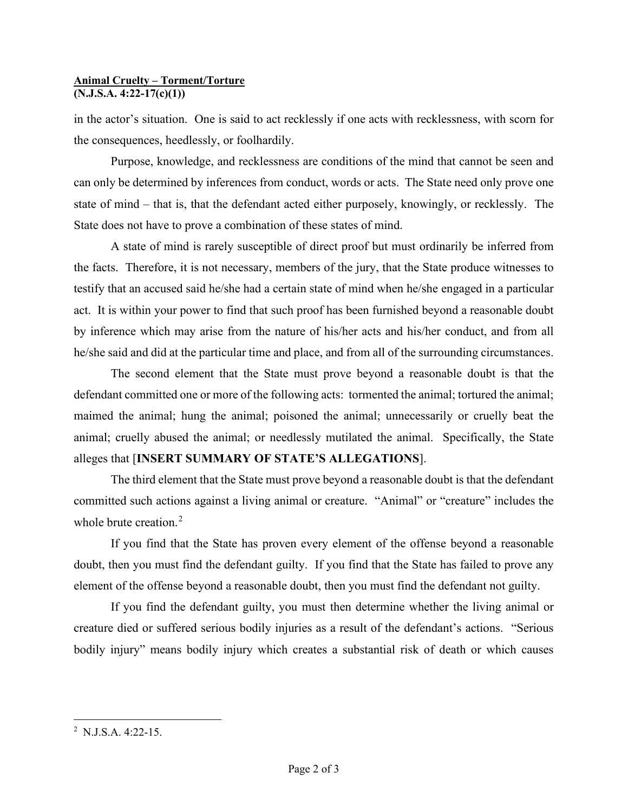## **Animal Cruelty – Torment/Torture (N.J.S.A. 4:22-17(c)(1))**

in the actor's situation. One is said to act recklessly if one acts with recklessness, with scorn for the consequences, heedlessly, or foolhardily.

Purpose, knowledge, and recklessness are conditions of the mind that cannot be seen and can only be determined by inferences from conduct, words or acts. The State need only prove one state of mind – that is, that the defendant acted either purposely, knowingly, or recklessly. The State does not have to prove a combination of these states of mind.

A state of mind is rarely susceptible of direct proof but must ordinarily be inferred from the facts. Therefore, it is not necessary, members of the jury, that the State produce witnesses to testify that an accused said he/she had a certain state of mind when he/she engaged in a particular act. It is within your power to find that such proof has been furnished beyond a reasonable doubt by inference which may arise from the nature of his/her acts and his/her conduct, and from all he/she said and did at the particular time and place, and from all of the surrounding circumstances.

The second element that the State must prove beyond a reasonable doubt is that the defendant committed one or more of the following acts: tormented the animal; tortured the animal; maimed the animal; hung the animal; poisoned the animal; unnecessarily or cruelly beat the animal; cruelly abused the animal; or needlessly mutilated the animal. Specifically, the State alleges that [**INSERT SUMMARY OF STATE'S ALLEGATIONS**].

The third element that the State must prove beyond a reasonable doubt is that the defendant committed such actions against a living animal or creature. "Animal" or "creature" includes the whole brute creation.<sup>[2](#page-1-0)</sup>

If you find that the State has proven every element of the offense beyond a reasonable doubt, then you must find the defendant guilty. If you find that the State has failed to prove any element of the offense beyond a reasonable doubt, then you must find the defendant not guilty.

If you find the defendant guilty, you must then determine whether the living animal or creature died or suffered serious bodily injuries as a result of the defendant's actions. "Serious bodily injury" means bodily injury which creates a substantial risk of death or which causes

<span id="page-1-0"></span><sup>&</sup>lt;sup>2</sup> N.J.S.A. 4:22-15.